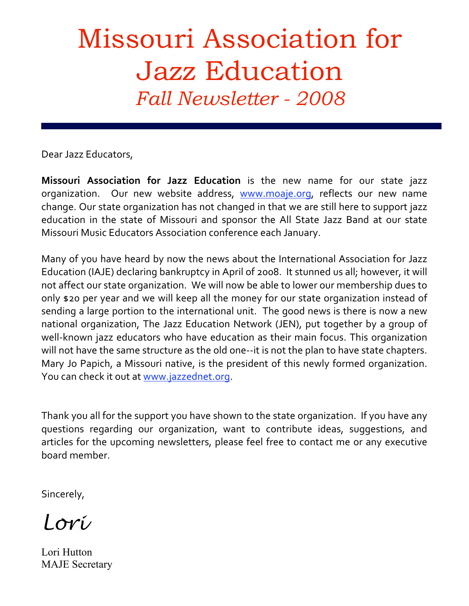# Missouri Association for Jazz Education *Fall Newsletter - 2008*

Dear
Jazz
Educators,

*2008*

Missouri Association for Jazz Education is the new name for our state jazz organization. Our new website address, www.moaje.org, reflects our new name change. Our state organization has not changed in that we are still here to support jazz education in the state of Missouri and sponsor the All State Jazz Band at our state Missouri
Music
Educators
Association
conference
each
January.

Many of you have heard by now the news about the International Association for Jazz Education (IAJE) declaring bankruptcy in April of 2008. It stunned us all; however, it will not
affect
our
state
organization.

We
will
now
be
able
to
lower
our
membership
dues
to only \$20 per year and we will keep all the money for our state organization instead of sending a large portion to the international unit. The good news is there is now a new national organization, The Jazz Education Network (JEN), put together by a group of well-known jazz educators who have education as their main focus. This organization will not have the same structure as the old one--it is not the plan to have state chapters. Mary Jo Papich, a Missouri native, is the president of this newly formed organization. You can check it out at www.jazzednet.org.

Thank you all for the support you have shown to the state organization. If you have any guestions regarding our organization, want to contribute ideas, suggestions, and articles
 for
 the
upcoming
newsletters,
please
 feel
 free
 to
contact
me
or
any
executive board
member.

Sincerely,

*Lori*

Lori Hutton MAJE Secretary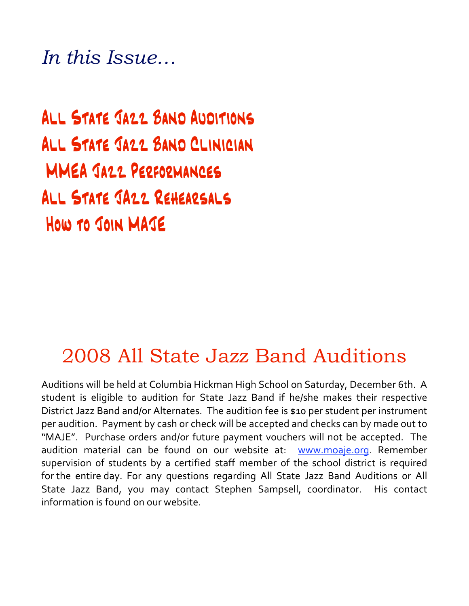*In this Issue…*

All State Jazz Band Auditions All State Jazz Band Clinician MMEA Jazz Performances All State JAzz Rehearsals How to Join MAJE

### 2008 All State Jazz Band Auditions

Auditions
will
be
held
at
Columbia
Hickman
High
School
on
Saturday,
December
6th.

A student is eligible to audition for State Jazz Band if he/she makes their respective District Jazz Band and/or Alternates. The audition fee is \$10 per student per instrument per
audition.

Payment
by
cash
or
check
will
be
accepted
and
checks
can
by
made
out
to "MAJE". Purchase orders and/or future payment vouchers will not be accepted. The audition material can be found on our website at: www.moaje.org. Remember supervision of students by a certified staff member of the school district is required for the entire day. For any questions regarding All State Jazz Band Auditions or All State Jazz Band, you may contact Stephen Sampsell, coordinator. His contact information is found on our website.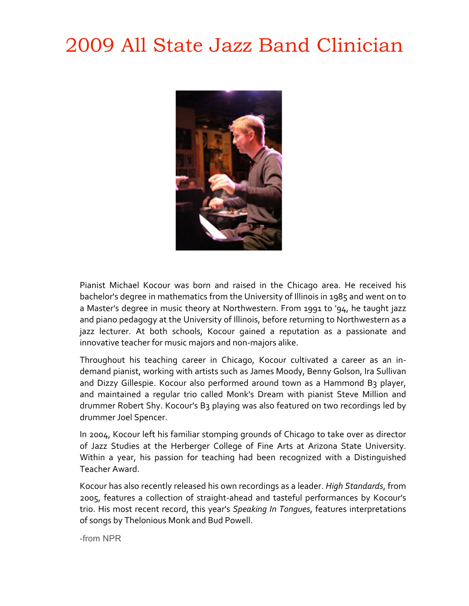# 2009 All State Jazz Band Clinician



Pianist Michael Kocour was born and raised in the Chicago area. He received his bachelor's degree in mathematics from the University of Illinois in 1985 and went on to a Master's degree in music theory at Northwestern. From 1991 to '94, he taught jazz and piano pedagogy at the University of Illinois, before returning to Northwestern as a jazz lecturer. At both schools, Kocour gained a reputation as a passionate and innovative teacher for music majors and non-majors alike.

Throughout his teaching career in Chicago, Kocour cultivated a career as an indemand pianist, working with artists such as James Moody, Benny Golson, Ira Sullivan and Dizzy Gillespie. Kocour also performed around town as a Hammond B3 player, and maintained a regular trio called Monk's Dream with pianist Steve Million and drummer Robert Shy. Kocour's B3 playing was also featured on two recordings led by drummer
Joel
Spencer.

In 2004, Kocour left his familiar stomping grounds of Chicago to take over as director of Jazz Studies at the Herberger College of Fine Arts at Arizona State University. Within a year, his passion for teaching had been recognized with a Distinguished Teacher
Award.

Kocour has also recently released his own recordings as a leader. *High Standards*, from 2005,
 features
 a
 collection
 of
 straight‐ahead
 and
 tasteful
 performances
 by
 Kocour's trio. His most recent record, this year's Speaking In Tongues, features interpretations of
songs
by
Thelonious
Monk
and
Bud
Powell.

-from NPR